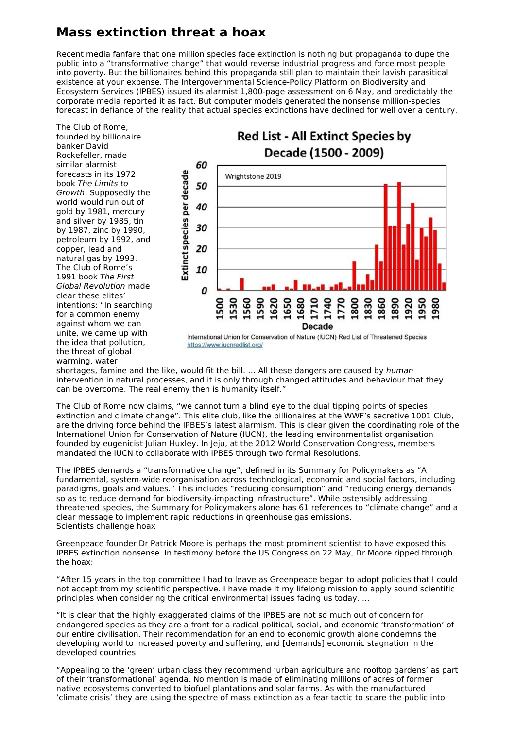## **Mass extinction threat a hoax**

Recent media fanfare that one million species face extinction is nothing but propaganda to dupe the public into a "transformative change" that would reverse industrial progress and force most people into poverty. But the billionaires behind this propaganda still plan to maintain their lavish parasitical existence at your expense. The Intergovernmental Science-Policy Platform on Biodiversity and Ecosystem Services (IPBES) issued its alarmist 1,800-page assessment on 6 May, and predictably the corporate media reported it as fact. But computer models generated the nonsense million-species forecast in defiance of the reality that actual species extinctions have declined for well over a century.

The Club of Rome, founded by billionaire banker David Rockefeller, made similar alarmist forecasts in its 1972 book The Limits to Growth. Supposedly the world would run out of gold by 1981, mercury and silver by 1985, tin by 1987, zinc by 1990, petroleum by 1992, and copper, lead and natural gas by 1993. The Club of Rome's 1991 book The First Global Revolution made clear these elites' intentions: "In searching for a common enemy against whom we can unite, we came up with the idea that pollution, the threat of global warming, water



shortages, famine and the like, would fit the bill. … All these dangers are caused by human intervention in natural processes, and it is only through changed attitudes and behaviour that they can be overcome. The real enemy then is humanity itself."

The Club of Rome now claims, "we cannot turn a blind eye to the dual tipping points of species extinction and climate change". This elite club, like the billionaires at the WWF's secretive 1001 Club, are the driving force behind the IPBES's latest alarmism. This is clear given the coordinating role of the International Union for Conservation of Nature (IUCN), the leading environmentalist organisation founded by eugenicist Julian Huxley. In Jeju, at the 2012 World Conservation Congress, members mandated the IUCN to collaborate with IPBES through two formal Resolutions.

The IPBES demands a "transformative change", defined in its Summary for Policymakers as "A fundamental, system-wide reorganisation across technological, economic and social factors, including paradigms, goals and values." This includes "reducing consumption" and "reducing energy demands so as to reduce demand for biodiversity-impacting infrastructure". While ostensibly addressing threatened species, the Summary for Policymakers alone has 61 references to "climate change" and a clear message to implement rapid reductions in greenhouse gas emissions. Scientists challenge hoax

Greenpeace founder Dr Patrick Moore is perhaps the most prominent scientist to have exposed this IPBES extinction nonsense. In testimony before the US Congress on 22 May, Dr Moore ripped through the hoax:

"After 15 years in the top committee I had to leave as Greenpeace began to adopt policies that I could not accept from my scientific perspective. I have made it my lifelong mission to apply sound scientific principles when considering the critical environmental issues facing us today. …

"It is clear that the highly exaggerated claims of the IPBES are not so much out of concern for endangered species as they are a front for a radical political, social, and economic 'transformation' of our entire civilisation. Their recommendation for an end to economic growth alone condemns the developing world to increased poverty and suffering, and [demands] economic stagnation in the developed countries.

"Appealing to the 'green' urban class they recommend 'urban agriculture and rooftop gardens' as part of their 'transformational' agenda. No mention is made of eliminating millions of acres of former native ecosystems converted to biofuel plantations and solar farms. As with the manufactured 'climate crisis' they are using the spectre of mass extinction as a fear tactic to scare the public into